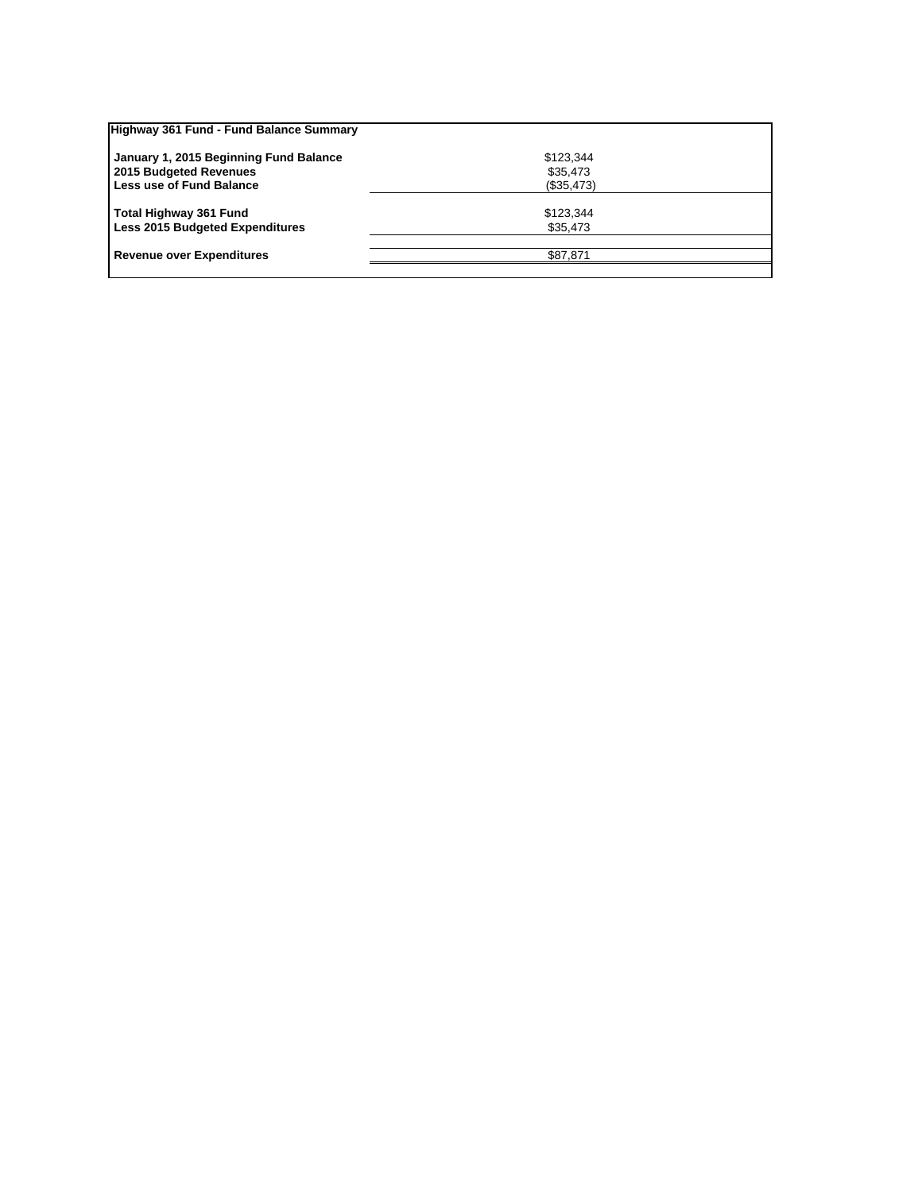| Highway 361 Fund - Fund Balance Summary |            |  |
|-----------------------------------------|------------|--|
| January 1, 2015 Beginning Fund Balance  | \$123,344  |  |
| 2015 Budgeted Revenues                  | \$35,473   |  |
| Less use of Fund Balance                | (\$35,473) |  |
|                                         |            |  |
| <b>Total Highway 361 Fund</b>           | \$123,344  |  |
| <b>Less 2015 Budgeted Expenditures</b>  | \$35,473   |  |
|                                         |            |  |
| <b>Revenue over Expenditures</b>        | \$87.871   |  |
|                                         |            |  |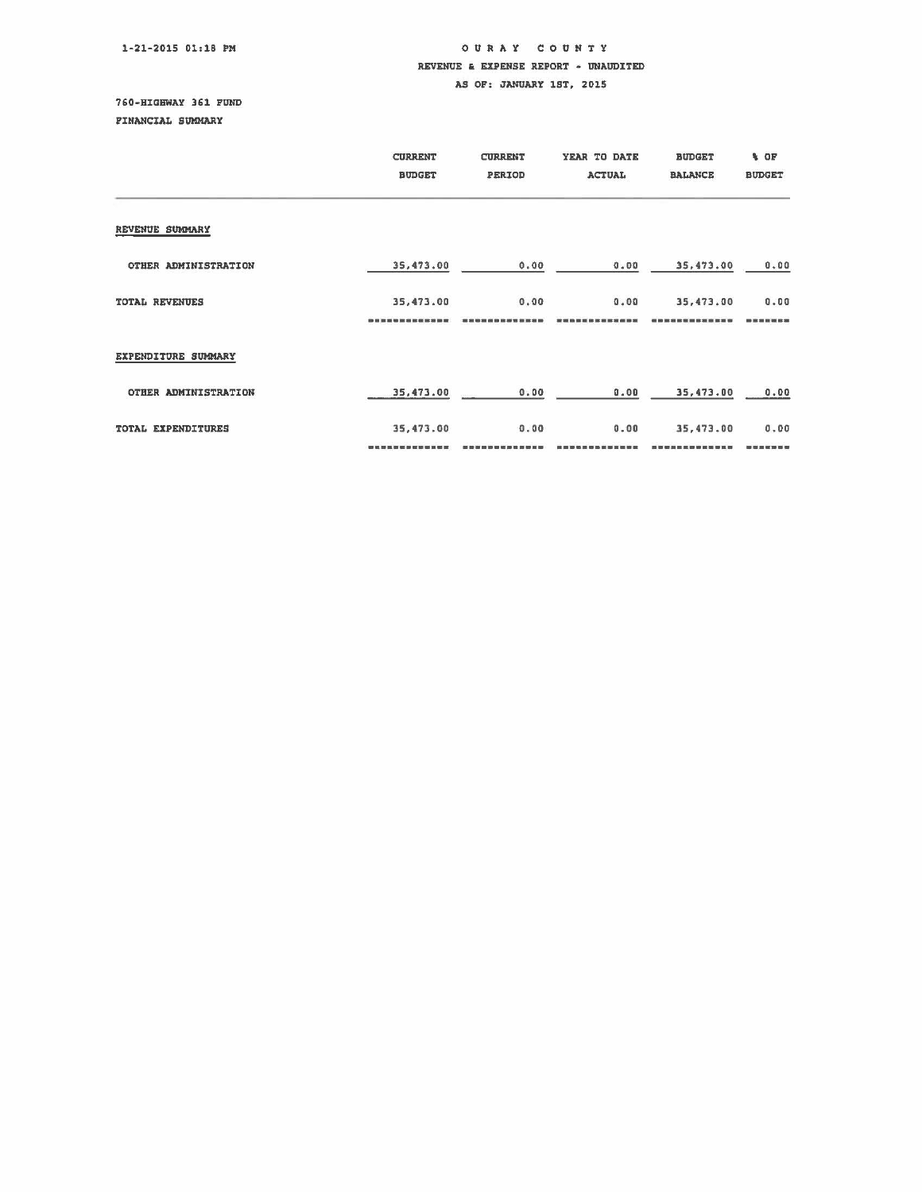## OUR A Y COUNTY REVENUE & EXPENSE REPORT - UNAUDITED AS OF: JANUARY 1ST, 2015

750-HIGHWAY 351 FUND PINANCIAL SUMMARY

|                       | <b>CURRENT</b><br><b>BUDGET</b> | <b>CURRENT</b><br>PERIOD | YEAR TO DATE<br><b>ACTUAL</b> | <b>BUDGET</b><br><b>BALANCE</b> | % OF<br><b>BUDGET</b> |
|-----------------------|---------------------------------|--------------------------|-------------------------------|---------------------------------|-----------------------|
| REVENUE SUMMARY       |                                 |                          |                               |                                 |                       |
| OTHER ADMINISTRATION  | 35,473.00                       | 0.00                     | 0.00                          | 35,473.00                       | 0.00                  |
| <b>TOTAL REVENUES</b> | 35,473.00                       | 0.00                     | 0.00                          | 35,473.00                       | 0.00<br>-------       |
| EXPENDITURE SUMMARY   |                                 |                          |                               |                                 |                       |
| OTHER ADMINISTRATION  | 35,473.00                       | 0.00                     | 0.00                          | 35,473.00                       | 0.00                  |
| TOTAL EXPENDITURES    | 35,473.00                       | 0.00                     | 0.00                          | 35,473.00                       | 0.00                  |
|                       |                                 |                          |                               |                                 | ------                |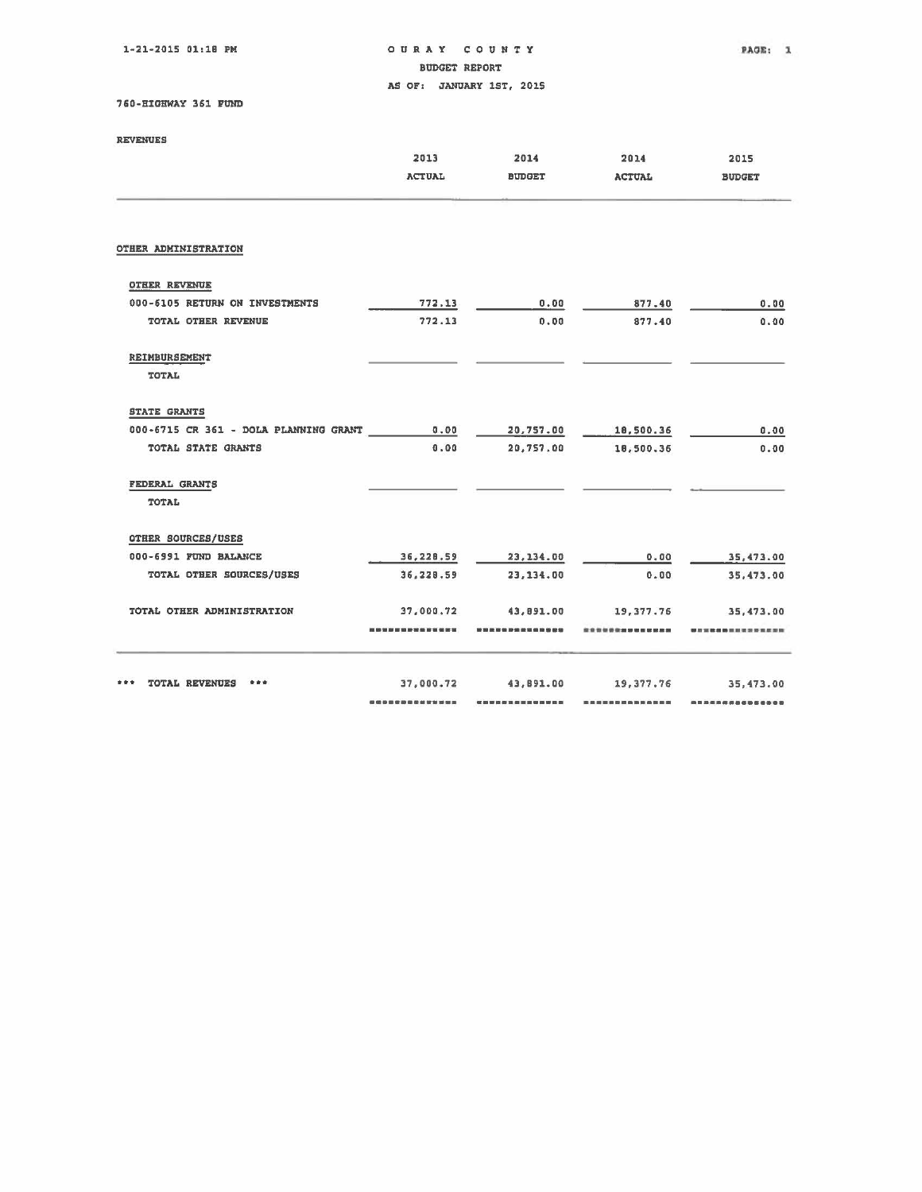lw21·2015 01:18 PM

o U RAY COUNTY BUDGET REPORT

PAGE: 1

AS OF: JANUARY 1ST, 2015

760-HIGHWAY 361 FUND

| <b>REVENUES</b> |  |
|-----------------|--|
|                 |  |

| <b>REVENUES</b>                       |                                     |                       |                       |                       |
|---------------------------------------|-------------------------------------|-----------------------|-----------------------|-----------------------|
|                                       | 2013<br><b>ACTUAL</b>               | 2014<br><b>BUDGET</b> | 2014<br><b>ACTUAL</b> | 2015<br><b>BUDGET</b> |
| OTHER ADMINISTRATION                  |                                     |                       |                       |                       |
| <b>OTHER REVENUE</b>                  |                                     |                       |                       |                       |
| 000-6105 RETURN ON INVESTMENTS        | 772.13                              | 0.00                  | 877.40                | 0.00                  |
| TOTAL OTHER REVENUE                   | 772.13                              | 0.00                  | 877.40                | 0.00                  |
| REIMBURSEMENT<br><b>TOTAL</b>         |                                     |                       |                       |                       |
| <b>STATE GRANTS</b>                   |                                     |                       |                       |                       |
| 000-6715 CR 361 - DOLA PLANNING GRANT | 0.00                                | 20,757.00             | 18,500.36             | 0.00                  |
| TOTAL STATE GRANTS                    | 0.00                                | 20,757.00             | 18,500.36             | 0.00                  |
| FEDERAL GRANTS                        |                                     |                       |                       |                       |
| TOTAL                                 |                                     |                       |                       |                       |
| OTHER SOURCES/USES                    |                                     |                       |                       |                       |
| 000-6991 FUND BALANCE                 | 36,228.59                           | 23, 134.00            | 0.00                  | 35,473.00             |
| TOTAL OTHER SOURCES/USES              | 36,228.59                           | 23,134.00             | 0.00                  | 35,473.00             |
| TOTAL OTHER ADMINISTRATION            | 37,000,72                           | 43,891.00             | 19.377.76             | 35,473.00             |
|                                       | 10 20 21 22 23 24 25 26 27 38 30 30 | 第四世纪前期前的第四世纪          |                       |                       |
| <b>TOTAL REVENUES</b><br>***<br>青青青   | 37,000.72                           | 43,891.00             | 19, 377.76            | 35, 473, 00           |
|                                       |                                     |                       |                       | ,,,,,,,,,,,,          |